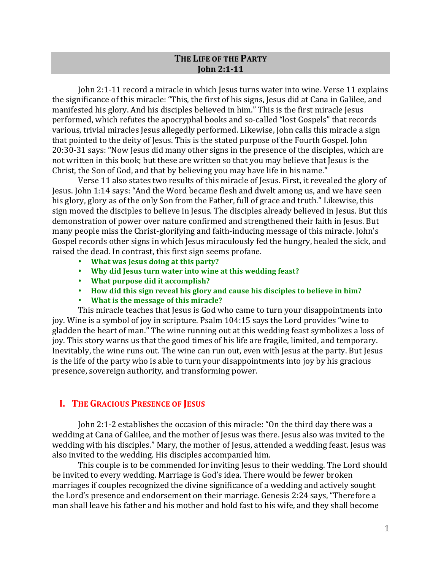# THE LIFE OF THE PARTY **John 2:1-11**

John 2:1-11 record a miracle in which Jesus turns water into wine. Verse 11 explains the significance of this miracle: "This, the first of his signs, Jesus did at Cana in Galilee, and manifested his glory. And his disciples believed in him." This is the first miracle Jesus performed, which refutes the apocryphal books and so-called "lost Gospels" that records various, trivial miracles Jesus allegedly performed. Likewise, John calls this miracle a sign that pointed to the deity of Jesus. This is the stated purpose of the Fourth Gospel. John 20:30-31 says: "Now Jesus did many other signs in the presence of the disciples, which are not written in this book; but these are written so that you may believe that Jesus is the Christ, the Son of God, and that by believing you may have life in his name."

Verse 11 also states two results of this miracle of Jesus. First, it revealed the glory of Jesus. John 1:14 says: "And the Word became flesh and dwelt among us, and we have seen his glory, glory as of the only Son from the Father, full of grace and truth." Likewise, this sign moved the disciples to believe in Jesus. The disciples already believed in Jesus. But this demonstration of power over nature confirmed and strengthened their faith in Jesus. But many people miss the Christ-glorifying and faith-inducing message of this miracle. John's Gospel records other signs in which Jesus miraculously fed the hungry, healed the sick, and raised the dead. In contrast, this first sign seems profane.

- What was Jesus doing at this party?
- Why did Jesus turn water into wine at this wedding feast?
- What purpose did it accomplish?
- How did this sign reveal his glory and cause his disciples to believe in him?
- What is the message of this miracle?

This miracle teaches that Jesus is God who came to turn your disappointments into joy. Wine is a symbol of joy in scripture. Psalm 104:15 says the Lord provides "wine to gladden the heart of man." The wine running out at this wedding feast symbolizes a loss of joy. This story warns us that the good times of his life are fragile, limited, and temporary. Inevitably, the wine runs out. The wine can run out, even with Jesus at the party. But Jesus is the life of the party who is able to turn your disappointments into joy by his gracious presence, sovereign authority, and transforming power.

# **I.** THE GRACIOUS PRESENCE OF JESUS

John 2:1-2 establishes the occasion of this miracle: "On the third day there was a wedding at Cana of Galilee, and the mother of Jesus was there. Jesus also was invited to the wedding with his disciples." Mary, the mother of Jesus, attended a wedding feast. Jesus was also invited to the wedding. His disciples accompanied him.

This couple is to be commended for inviting Jesus to their wedding. The Lord should be invited to every wedding. Marriage is God's idea. There would be fewer broken marriages if couples recognized the divine significance of a wedding and actively sought the Lord's presence and endorsement on their marriage. Genesis 2:24 says, "Therefore a man shall leave his father and his mother and hold fast to his wife, and they shall become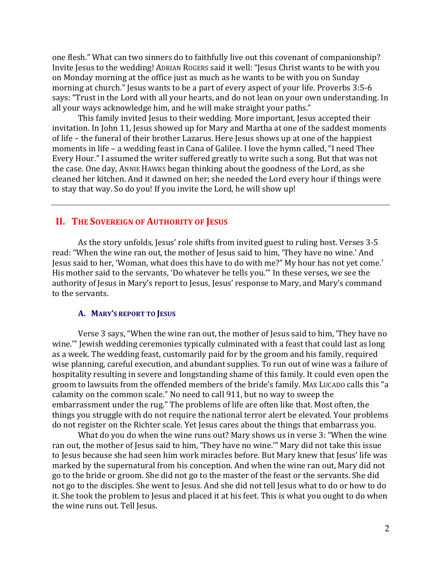one flesh." What can two sinners do to faithfully live out this covenant of companionship? Invite Jesus to the wedding! ADRIAN ROGERS said it well: "Jesus Christ wants to be with you on Monday morning at the office just as much as he wants to be with you on Sunday morning at church." Jesus wants to be a part of every aspect of your life. Proverbs 3:5-6 says: "Trust in the Lord with all your hearts, and do not lean on your own understanding. In all your ways acknowledge him, and he will make straight your paths."

This family invited Jesus to their wedding. More important, Jesus accepted their invitation. In John 11, Jesus showed up for Mary and Martha at one of the saddest moments of life – the funeral of their brother Lazarus. Here Jesus shows up at one of the happiest moments in life – a wedding feast in Cana of Galilee. I love the hymn called, "I need Thee Every Hour." I assumed the writer suffered greatly to write such a song. But that was not the case. One day, ANNIE HAWKS began thinking about the goodness of the Lord, as she cleaned her kitchen. And it dawned on her; she needed the Lord every hour if things were to stay that way. So do you! If you invite the Lord, he will show up!

# **II. THE SOVEREIGN OF AUTHORITY OF JESUS**

As the story unfolds, Jesus' role shifts from invited guest to ruling host. Verses 3-5 read: "When the wine ran out, the mother of Jesus said to him, 'They have no wine.' And Jesus said to her, 'Woman, what does this have to do with me?" My hour has not yet come.' His mother said to the servants, 'Do whatever he tells you." In these verses, we see the authority of Jesus in Mary's report to Jesus, Jesus' response to Mary, and Mary's command to the servants.

#### **A.** MARY'S REPORT TO JESUS

Verse 3 says, "When the wine ran out, the mother of Jesus said to him, 'They have no wine."" Jewish wedding ceremonies typically culminated with a feast that could last as long as a week. The wedding feast, customarily paid for by the groom and his family, required wise planning, careful execution, and abundant supplies. To run out of wine was a failure of hospitality resulting in severe and longstanding shame of this family. It could even open the groom to lawsuits from the offended members of the bride's family. MAX LUCADO calls this "a calamity on the common scale." No need to call 911, but no way to sweep the embarrassment under the rug." The problems of life are often like that. Most often, the things you struggle with do not require the national terror alert be elevated. Your problems do not register on the Richter scale. Yet Jesus cares about the things that embarrass you.

What do you do when the wine runs out? Mary shows us in verse 3: "When the wine ran out, the mother of Jesus said to him, 'They have no wine.'" Mary did not take this issue to Jesus because she had seen him work miracles before. But Mary knew that Jesus' life was marked by the supernatural from his conception. And when the wine ran out, Mary did not go to the bride or groom. She did not go to the master of the feast or the servants. She did not go to the disciples. She went to Jesus. And she did not tell Jesus what to do or how to do it. She took the problem to Jesus and placed it at his feet. This is what you ought to do when the wine runs out. Tell Jesus.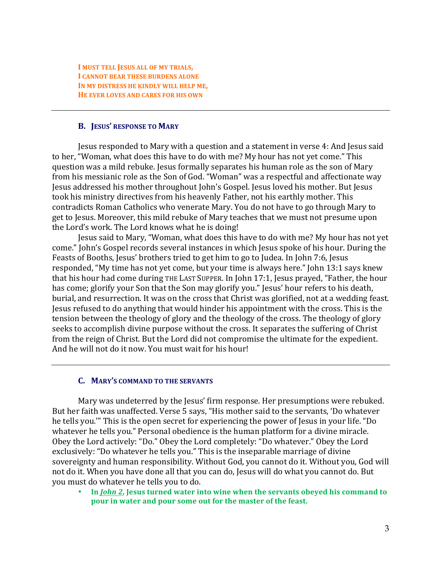**I MUST TELL JESUS ALL OF MY TRIALS, I** CANNOT BEAR THESE BURDENS ALONE **IN MY DISTRESS HE KINDLY WILL HELP ME, HE EVER LOVES AND CARES FOR HIS OWN** 

#### **B. JESUS' RESPONSE TO MARY**

Jesus responded to Mary with a question and a statement in verse 4: And Jesus said to her, "Woman, what does this have to do with me? My hour has not yet come." This question was a mild rebuke. Jesus formally separates his human role as the son of Mary from his messianic role as the Son of God. "Woman" was a respectful and affectionate way Jesus addressed his mother throughout John's Gospel. Jesus loved his mother. But Jesus took his ministry directives from his heavenly Father, not his earthly mother. This contradicts Roman Catholics who venerate Mary. You do not have to go through Mary to get to Jesus. Moreover, this mild rebuke of Mary teaches that we must not presume upon the Lord's work. The Lord knows what he is doing!

Jesus said to Mary, "Woman, what does this have to do with me? My hour has not yet come." John's Gospel records several instances in which Jesus spoke of his hour. During the Feasts of Booths, Jesus' brothers tried to get him to go to Judea. In John 7:6, Jesus responded, "My time has not yet come, but your time is always here." John 13:1 says knew that his hour had come during THE LAST SUPPER. In John 17:1, Jesus prayed, "Father, the hour has come; glorify your Son that the Son may glorify you." Jesus' hour refers to his death, burial, and resurrection. It was on the cross that Christ was glorified, not at a wedding feast. Jesus refused to do anything that would hinder his appointment with the cross. This is the tension between the theology of glory and the theology of the cross. The theology of glory seeks to accomplish divine purpose without the cross. It separates the suffering of Christ from the reign of Christ. But the Lord did not compromise the ultimate for the expedient. And he will not do it now. You must wait for his hour!

#### **C. MARY'S COMMAND TO THE SERVANTS**

Mary was undeterred by the Jesus' firm response. Her presumptions were rebuked. But her faith was unaffected. Verse 5 says, "His mother said to the servants, 'Do whatever he tells you." This is the open secret for experiencing the power of Jesus in your life. "Do whatever he tells you." Personal obedience is the human platform for a divine miracle. Obey the Lord actively: "Do." Obey the Lord completely: "Do whatever." Obey the Lord exclusively: "Do whatever he tells you." This is the inseparable marriage of divine sovereignty and human responsibility. Without God, you cannot do it. Without you, God will not do it. When you have done all that you can do, Jesus will do what you cannot do. But you must do whatever he tells you to do.

In *John 2*, Jesus turned water into wine when the servants obeyed his command to **pour in water and pour some out for the master of the feast.**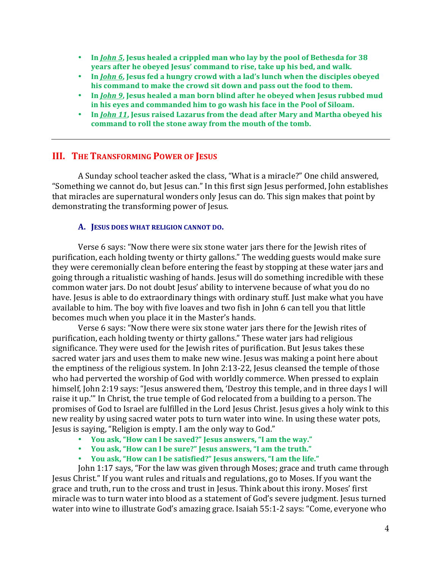- In *John 5*, Jesus healed a crippled man who lay by the pool of Bethesda for 38 **years after he obeyed Jesus' command to rise, take up his bed, and walk.**
- In *John* 6, Jesus fed a hungry crowd with a lad's lunch when the disciples obeyed his command to make the crowd sit down and pass out the food to them.
- In *John 9*, Jesus healed a man born blind after he obeyed when Jesus rubbed mud in his eyes and commanded him to go wash his face in the Pool of Siloam.
- In *John 11*, Jesus raised Lazarus from the dead after Mary and Martha obeyed his command to roll the stone away from the mouth of the tomb.

# **III. THE TRANSFORMING POWER OF JESUS**

A Sunday school teacher asked the class, "What is a miracle?" One child answered, "Something we cannot do, but Jesus can." In this first sign Jesus performed, John establishes that miracles are supernatural wonders only Jesus can do. This sign makes that point by demonstrating the transforming power of Jesus.

#### A. **JESUS DOES WHAT RELIGION CANNOT DO.**

Verse 6 says: "Now there were six stone water jars there for the Jewish rites of purification, each holding twenty or thirty gallons." The wedding guests would make sure they were ceremonially clean before entering the feast by stopping at these water jars and going through a ritualistic washing of hands. Jesus will do something incredible with these common water jars. Do not doubt Jesus' ability to intervene because of what you do no have. Jesus is able to do extraordinary things with ordinary stuff. Just make what you have available to him. The boy with five loaves and two fish in John 6 can tell you that little becomes much when you place it in the Master's hands.

Verse 6 says: "Now there were six stone water jars there for the Jewish rites of purification, each holding twenty or thirty gallons." These water jars had religious significance. They were used for the Jewish rites of purification. But Jesus takes these sacred water jars and uses them to make new wine. Jesus was making a point here about the emptiness of the religious system. In John 2:13-22, Jesus cleansed the temple of those who had perverted the worship of God with worldly commerce. When pressed to explain himself, John 2:19 says: "Jesus answered them, 'Destroy this temple, and in three days I will raise it up." In Christ, the true temple of God relocated from a building to a person. The promises of God to Israel are fulfilled in the Lord Jesus Christ. Jesus gives a holy wink to this new reality by using sacred water pots to turn water into wine. In using these water pots, Jesus is saying, "Religion is empty. I am the only way to God."

- You ask, "How can I be saved?" Jesus answers, "I am the way."
- You ask, "How can I be sure?" Jesus answers, "I am the truth."
- You ask, "How can I be satisfied?" Jesus answers, "I am the life."

John 1:17 says, "For the law was given through Moses; grace and truth came through Jesus Christ." If you want rules and rituals and regulations, go to Moses. If you want the grace and truth, run to the cross and trust in Jesus. Think about this irony. Moses' first miracle was to turn water into blood as a statement of God's severe judgment. Jesus turned water into wine to illustrate God's amazing grace. Isaiah 55:1-2 says: "Come, everyone who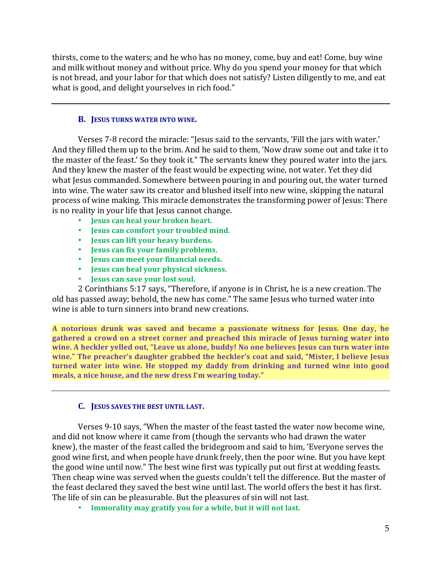thirsts, come to the waters; and he who has no money, come, buy and eat! Come, buy wine and milk without money and without price. Why do you spend your money for that which is not bread, and your labor for that which does not satisfy? Listen diligently to me, and eat what is good, and delight yourselves in rich food."

### **B. JESUS TURNS WATER INTO WINE.**

Verses 7-8 record the miracle: "Jesus said to the servants, 'Fill the jars with water.' And they filled them up to the brim. And he said to them, 'Now draw some out and take it to the master of the feast.' So they took it." The servants knew they poured water into the jars. And they knew the master of the feast would be expecting wine, not water. Yet they did what Jesus commanded. Somewhere between pouring in and pouring out, the water turned into wine. The water saw its creator and blushed itself into new wine, skipping the natural process of wine making. This miracle demonstrates the transforming power of Jesus: There is no reality in your life that Jesus cannot change.

- **Jesus can heal your broken heart.**
- **Jesus can comfort your troubled mind.**
- **Jesus can lift your heavy burdens.**
- **Jesus can fix your family problems.**
- **Jesus can meet your financial needs.**
- **Jesus can heal your physical sickness.**
- **Jesus can save your lost soul.**

2 Corinthians 5:17 says, "Therefore, if anyone is in Christ, he is a new creation. The old has passed away; behold, the new has come." The same Jesus who turned water into wine is able to turn sinners into brand new creations.

**A notorious drunk was saved and became a passionate witness for Jesus. One day, he**  gathered a crowd on a street corner and preached this miracle of Jesus turning water into wine. A heckler yelled out, "Leave us alone, buddy! No one believes Jesus can turn water into wine." The preacher's daughter grabbed the heckler's coat and said, "Mister, I believe Jesus **turned** water into wine. He stopped my daddy from drinking and turned wine into good meals, a nice house, and the new dress I'm wearing today."

# **C. JESUS SAVES THE BEST UNTIL LAST.**

Verses 9-10 says, "When the master of the feast tasted the water now become wine, and did not know where it came from (though the servants who had drawn the water knew), the master of the feast called the bridegroom and said to him, 'Everyone serves the good wine first, and when people have drunk freely, then the poor wine. But you have kept the good wine until now." The best wine first was typically put out first at wedding feasts. Then cheap wine was served when the guests couldn't tell the difference. But the master of the feast declared they saved the best wine until last. The world offers the best it has first. The life of sin can be pleasurable. But the pleasures of sin will not last.

• Immorality may gratify you for a while, but it will not last.